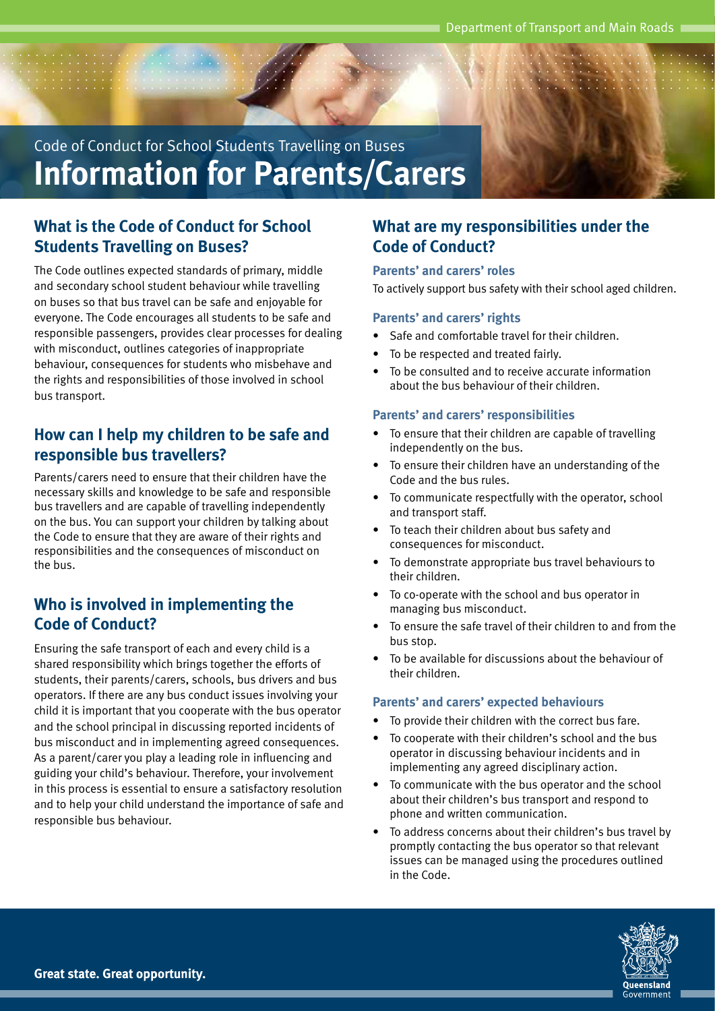Code of Conduct for School Students Travelling on Buses **Information for Parents/Carers**

## **What is the Code of Conduct for School Students Travelling on Buses?**

The Code outlines expected standards of primary, middle and secondary school student behaviour while travelling on buses so that bus travel can be safe and enjoyable for everyone. The Code encourages all students to be safe and responsible passengers, provides clear processes for dealing with misconduct, outlines categories of inappropriate behaviour, consequences for students who misbehave and the rights and responsibilities of those involved in school bus transport.

## **How can I help my children to be safe and responsible bus travellers?**

Parents/carers need to ensure that their children have the necessary skills and knowledge to be safe and responsible bus travellers and are capable of travelling independently on the bus. You can support your children by talking about the Code to ensure that they are aware of their rights and responsibilities and the consequences of misconduct on the bus.

## **Who is involved in implementing the Code of Conduct?**

Ensuring the safe transport of each and every child is a shared responsibility which brings together the efforts of students, their parents/carers, schools, bus drivers and bus operators. If there are any bus conduct issues involving your child it is important that you cooperate with the bus operator and the school principal in discussing reported incidents of bus misconduct and in implementing agreed consequences. As a parent/carer you play a leading role in influencing and guiding your child's behaviour. Therefore, your involvement in this process is essential to ensure a satisfactory resolution and to help your child understand the importance of safe and responsible bus behaviour.

## **What are my responsibilities under the Code of Conduct?**

**Parents' and carers' roles**

To actively support bus safety with their school aged children.

## **Parents' and carers' rights**

- Safe and comfortable travel for their children.
- To be respected and treated fairly.
- To be consulted and to receive accurate information about the bus behaviour of their children.

## **Parents' and carers' responsibilities**

- To ensure that their children are capable of travelling independently on the bus.
- To ensure their children have an understanding of the Code and the bus rules.
- To communicate respectfully with the operator, school and transport staff.
- To teach their children about bus safety and consequences for misconduct.
- To demonstrate appropriate bus travel behaviours to their children.
- To co-operate with the school and bus operator in managing bus misconduct.
- To ensure the safe travel of their children to and from the bus stop.
- To be available for discussions about the behaviour of their children.

#### **Parents' and carers' expected behaviours**

- To provide their children with the correct bus fare.
- To cooperate with their children's school and the bus operator in discussing behaviour incidents and in implementing any agreed disciplinary action.
- To communicate with the bus operator and the school about their children's bus transport and respond to phone and written communication.
- To address concerns about their children's bus travel by promptly contacting the bus operator so that relevant issues can be managed using the procedures outlined in the Code.

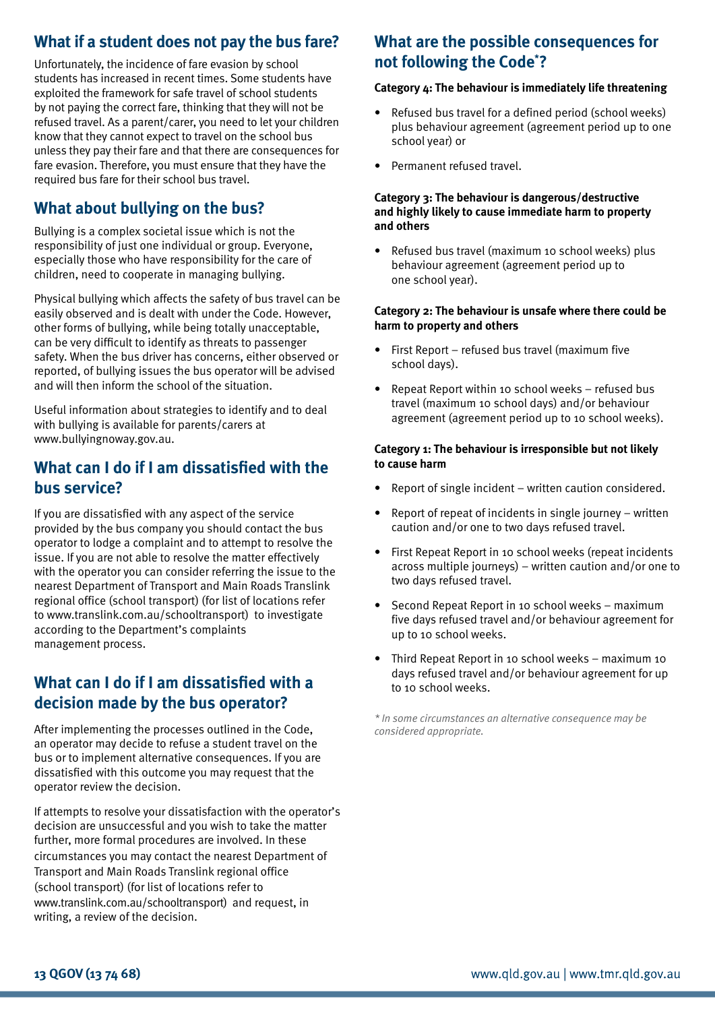# **What if a student does not pay the bus fare?**

Unfortunately, the incidence of fare evasion by school students has increased in recent times. Some students have exploited the framework for safe travel of school students by not paying the correct fare, thinking that they will not be refused travel. As a parent/carer, you need to let your children know that they cannot expect to travel on the school bus unless they pay their fare and that there are consequences for fare evasion. Therefore, you must ensure that they have the required bus fare for their school bus travel.

# **What about bullying on the bus?**

Bullying is a complex societal issue which is not the responsibility of just one individual or group. Everyone, especially those who have responsibility for the care of children, need to cooperate in managing bullying.

Physical bullying which affects the safety of bus travel can be easily observed and is dealt with under the Code. However, other forms of bullying, while being totally unacceptable, can be very difficult to identify as threats to passenger safety. When the bus driver has concerns, either observed or reported, of bullying issues the bus operator will be advised and will then inform the school of the situation.

Useful information about strategies to identify and to deal with bullying is available for parents/carers at www.bullyingnoway.gov.au.

## **What can I do if I am dissatisfied with the bus service?**

If you are dissatisfied with any aspect of the service provided by the bus company you should contact the bus operator to lodge a complaint and to attempt to resolve the issue. If you are not able to resolve the matter effectively with the operator you can consider referring the issue to the nearest Department of Transport and Main Roads Translink regional office (school transport) (for list of locations refer to www.translink.com.au/schooltransport) to investigate according to the Department's complaints management process.

## **What can I do if I am dissatisfied with a decision made by the bus operator?**

After implementing the processes outlined in the Code, an operator may decide to refuse a student travel on the bus or to implement alternative consequences. If you are dissatisfied with this outcome you may request that the operator review the decision.

If attempts to resolve your dissatisfaction with the operator's decision are unsuccessful and you wish to take the matter further, more formal procedures are involved. In these circumstances you may contact the nearest Department of Transport and Main Roads Translink regional office (school transport) (for list of locations refer to www.translink.com.au/schooltransport) and request, in writing, a review of the decision.

# **What are the possible consequences for not following the Code\* ?**

#### **Category 4: The behaviour is immediately life threatening**

- Refused bus travel for a defined period (school weeks) plus behaviour agreement (agreement period up to one school year) or
- Permanent refused travel.

#### **Category 3: The behaviour is dangerous/destructive and highly likely to cause immediate harm to property and others**

• Refused bus travel (maximum 10 school weeks) plus behaviour agreement (agreement period up to one school year).

#### **Category 2: The behaviour is unsafe where there could be harm to property and others**

- First Report refused bus travel (maximum five school days).
- Repeat Report within 10 school weeks refused bus travel (maximum 10 school days) and/or behaviour agreement (agreement period up to 10 school weeks).

#### **Category 1: The behaviour is irresponsible but not likely to cause harm**

- Report of single incident written caution considered.
- Report of repeat of incidents in single journey written caution and/or one to two days refused travel.
- First Repeat Report in 10 school weeks (repeat incidents across multiple journeys) – written caution and/or one to two days refused travel.
- Second Repeat Report in 10 school weeks maximum five days refused travel and/or behaviour agreement for up to 10 school weeks.
- Third Repeat Report in 10 school weeks maximum 10 days refused travel and/or behaviour agreement for up to 10 school weeks.

*\* In some circumstances an alternative consequence may be considered appropriate.*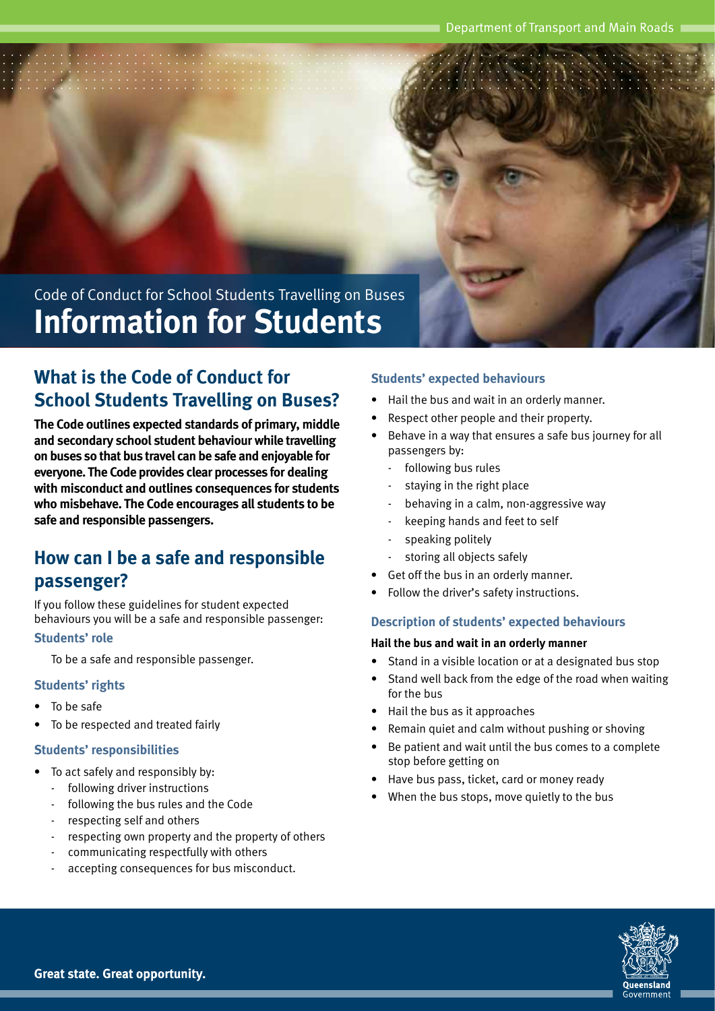Code of Conduct for School Students Travelling on Buses **Information for Students**

# **What is the Code of Conduct for School Students Travelling on Buses?**

**The Code outlines expected standards of primary, middle and secondary school student behaviour while travelling on buses so that bus travel can be safe and enjoyable for everyone. The Code provides clear processes for dealing with misconduct and outlines consequences for students who misbehave. The Code encourages all students to be safe and responsible passengers.**

# **How can I be a safe and responsible passenger?**

If you follow these guidelines for student expected behaviours you will be a safe and responsible passenger:

### **Students' role**

To be a safe and responsible passenger.

#### **Students' rights**

- To be safe
- To be respected and treated fairly

#### **Students' responsibilities**

- To act safely and responsibly by:
	- following driver instructions
	- following the bus rules and the Code
	- respecting self and others
	- respecting own property and the property of others
	- communicating respectfully with others
	- accepting consequences for bus misconduct.

#### **Students' expected behaviours**

- Hail the bus and wait in an orderly manner.
- Respect other people and their property.
- Behave in a way that ensures a safe bus journey for all passengers by:
	- following bus rules
	- staying in the right place
	- behaving in a calm, non-aggressive way
	- keeping hands and feet to self
	- speaking politely
	- storing all objects safely
- Get off the bus in an orderly manner.
- Follow the driver's safety instructions.

#### **Description of students' expected behaviours**

#### **Hail the bus and wait in an orderly manner**

- Stand in a visible location or at a designated bus stop
- Stand well back from the edge of the road when waiting for the bus
- Hail the bus as it approaches
- Remain quiet and calm without pushing or shoving
- Be patient and wait until the bus comes to a complete stop before getting on
- Have bus pass, ticket, card or money ready
- When the bus stops, move quietly to the bus